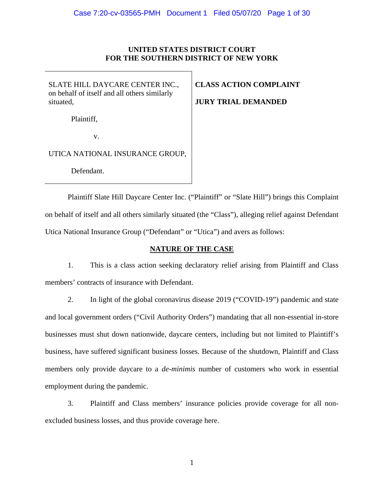### **UNITED STATES DISTRICT COURT FOR THE SOUTHERN DISTRICT OF NEW YORK**

SLATE HILL DAYCARE CENTER INC., on behalf of itself and all others similarly situated,

# **CLASS ACTION COMPLAINT**

# **JURY TRIAL DEMANDED**

Plaintiff,

v.

# UTICA NATIONAL INSURANCE GROUP,

Defendant.

Plaintiff Slate Hill Daycare Center Inc. ("Plaintiff" or "Slate Hill") brings this Complaint on behalf of itself and all others similarly situated (the "Class"), alleging relief against Defendant Utica National Insurance Group ("Defendant" or "Utica") and avers as follows:

# **NATURE OF THE CASE**

1. This is a class action seeking declaratory relief arising from Plaintiff and Class members' contracts of insurance with Defendant.

2. In light of the global coronavirus disease 2019 ("COVID-19") pandemic and state and local government orders ("Civil Authority Orders") mandating that all non-essential in-store businesses must shut down nationwide, daycare centers, including but not limited to Plaintiff's business, have suffered significant business losses. Because of the shutdown, Plaintiff and Class members only provide daycare to a *de-minimis* number of customers who work in essential employment during the pandemic.

3. Plaintiff and Class members' insurance policies provide coverage for all nonexcluded business losses, and thus provide coverage here.

1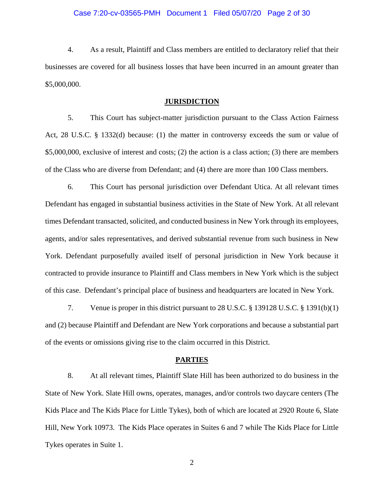#### Case 7:20-cv-03565-PMH Document 1 Filed 05/07/20 Page 2 of 30

4. As a result, Plaintiff and Class members are entitled to declaratory relief that their businesses are covered for all business losses that have been incurred in an amount greater than \$5,000,000.

#### **JURISDICTION**

5. This Court has subject-matter jurisdiction pursuant to the Class Action Fairness Act, 28 U.S.C. § 1332(d) because: (1) the matter in controversy exceeds the sum or value of \$5,000,000, exclusive of interest and costs; (2) the action is a class action; (3) there are members of the Class who are diverse from Defendant; and (4) there are more than 100 Class members.

6. This Court has personal jurisdiction over Defendant Utica. At all relevant times Defendant has engaged in substantial business activities in the State of New York. At all relevant times Defendant transacted, solicited, and conducted business in New York through its employees, agents, and/or sales representatives, and derived substantial revenue from such business in New York. Defendant purposefully availed itself of personal jurisdiction in New York because it contracted to provide insurance to Plaintiff and Class members in New York which is the subject of this case. Defendant's principal place of business and headquarters are located in New York.

7. Venue is proper in this district pursuant to 28 U.S.C. § 139128 U.S.C. § 1391(b)(1) and (2) because Plaintiff and Defendant are New York corporations and because a substantial part of the events or omissions giving rise to the claim occurred in this District.

#### **PARTIES**

8. At all relevant times, Plaintiff Slate Hill has been authorized to do business in the State of New York. Slate Hill owns, operates, manages, and/or controls two daycare centers (The Kids Place and The Kids Place for Little Tykes), both of which are located at 2920 Route 6, Slate Hill, New York 10973. The Kids Place operates in Suites 6 and 7 while The Kids Place for Little Tykes operates in Suite 1.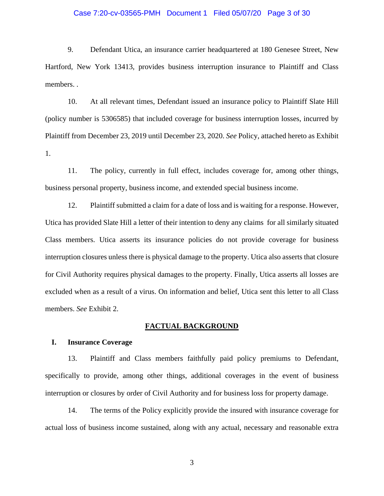#### Case 7:20-cv-03565-PMH Document 1 Filed 05/07/20 Page 3 of 30

9. Defendant Utica, an insurance carrier headquartered at 180 Genesee Street, New Hartford, New York 13413, provides business interruption insurance to Plaintiff and Class members. .

10. At all relevant times, Defendant issued an insurance policy to Plaintiff Slate Hill (policy number is 5306585) that included coverage for business interruption losses, incurred by Plaintiff from December 23, 2019 until December 23, 2020. *See* Policy, attached hereto as Exhibit 1.

11. The policy, currently in full effect, includes coverage for, among other things, business personal property, business income, and extended special business income.

12. Plaintiff submitted a claim for a date of loss and is waiting for a response. However, Utica has provided Slate Hill a letter of their intention to deny any claims for all similarly situated Class members. Utica asserts its insurance policies do not provide coverage for business interruption closures unless there is physical damage to the property. Utica also asserts that closure for Civil Authority requires physical damages to the property. Finally, Utica asserts all losses are excluded when as a result of a virus. On information and belief, Utica sent this letter to all Class members. *See* Exhibit 2.

#### **FACTUAL BACKGROUND**

#### **I. Insurance Coverage**

13. Plaintiff and Class members faithfully paid policy premiums to Defendant, specifically to provide, among other things, additional coverages in the event of business interruption or closures by order of Civil Authority and for business loss for property damage.

14. The terms of the Policy explicitly provide the insured with insurance coverage for actual loss of business income sustained, along with any actual, necessary and reasonable extra

3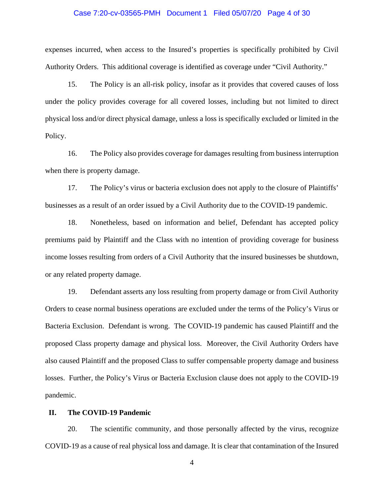#### Case 7:20-cv-03565-PMH Document 1 Filed 05/07/20 Page 4 of 30

expenses incurred, when access to the Insured's properties is specifically prohibited by Civil Authority Orders. This additional coverage is identified as coverage under "Civil Authority."

15. The Policy is an all-risk policy, insofar as it provides that covered causes of loss under the policy provides coverage for all covered losses, including but not limited to direct physical loss and/or direct physical damage, unless a loss is specifically excluded or limited in the Policy.

16. The Policy also provides coverage for damages resulting from business interruption when there is property damage.

17. The Policy's virus or bacteria exclusion does not apply to the closure of Plaintiffs' businesses as a result of an order issued by a Civil Authority due to the COVID-19 pandemic.

18. Nonetheless, based on information and belief, Defendant has accepted policy premiums paid by Plaintiff and the Class with no intention of providing coverage for business income losses resulting from orders of a Civil Authority that the insured businesses be shutdown, or any related property damage.

19. Defendant asserts any loss resulting from property damage or from Civil Authority Orders to cease normal business operations are excluded under the terms of the Policy's Virus or Bacteria Exclusion. Defendant is wrong. The COVID-19 pandemic has caused Plaintiff and the proposed Class property damage and physical loss. Moreover, the Civil Authority Orders have also caused Plaintiff and the proposed Class to suffer compensable property damage and business losses. Further, the Policy's Virus or Bacteria Exclusion clause does not apply to the COVID-19 pandemic.

#### **II. The COVID-19 Pandemic**

20. The scientific community, and those personally affected by the virus, recognize COVID-19 as a cause of real physical loss and damage. It is clear that contamination of the Insured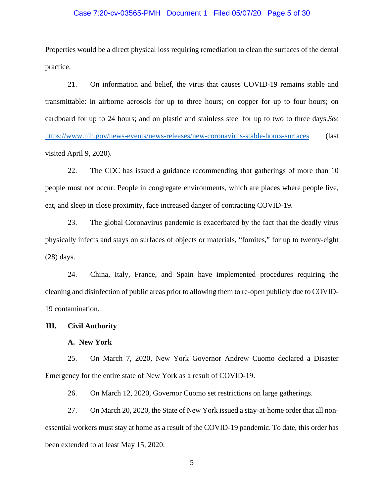#### Case 7:20-cv-03565-PMH Document 1 Filed 05/07/20 Page 5 of 30

Properties would be a direct physical loss requiring remediation to clean the surfaces of the dental practice.

21. On information and belief, the virus that causes COVID-19 remains stable and transmittable: in airborne aerosols for up to three hours; on copper for up to four hours; on cardboard for up to 24 hours; and on plastic and stainless steel for up to two to three days.*See* <https://www.nih.gov/news-events/news-releases/new-coronavirus-stable-hours-surfaces> (last visited April 9, 2020).

22. The CDC has issued a guidance recommending that gatherings of more than 10 people must not occur. People in congregate environments, which are places where people live, eat, and sleep in close proximity, face increased danger of contracting COVID-19.

23. The global Coronavirus pandemic is exacerbated by the fact that the deadly virus physically infects and stays on surfaces of objects or materials, "fomites," for up to twenty-eight (28) days.

24. China, Italy, France, and Spain have implemented procedures requiring the cleaning and disinfection of public areas prior to allowing them to re-open publicly due to COVID-19 contamination.

#### **III. Civil Authority**

#### **A. New York**

25. On March 7, 2020, New York Governor Andrew Cuomo declared a Disaster Emergency for the entire state of New York as a result of COVID-19.

26. On March 12, 2020, Governor Cuomo set restrictions on large gatherings.

27. On March 20, 2020, the State of New York issued a stay-at-home order that all nonessential workers must stay at home as a result of the COVID-19 pandemic. To date, this order has been extended to at least May 15, 2020.

5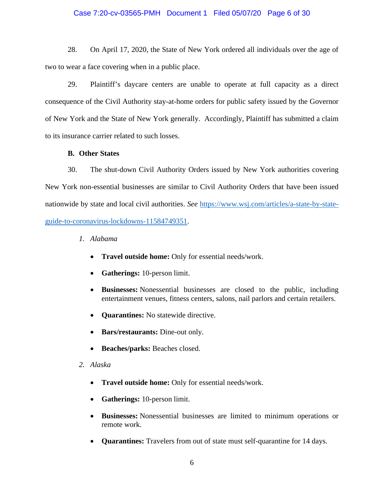#### Case 7:20-cv-03565-PMH Document 1 Filed 05/07/20 Page 6 of 30

28. On April 17, 2020, the State of New York ordered all individuals over the age of two to wear a face covering when in a public place.

29. Plaintiff's daycare centers are unable to operate at full capacity as a direct consequence of the Civil Authority stay-at-home orders for public safety issued by the Governor of New York and the State of New York generally. Accordingly, Plaintiff has submitted a claim to its insurance carrier related to such losses.

#### **B. Other States**

30. The shut-down Civil Authority Orders issued by New York authorities covering New York non-essential businesses are similar to Civil Authority Orders that have been issued nationwide by state and local civil authorities. *See* [https://www.wsj.com/articles/a-state-by-state](https://www.wsj.com/articles/a-state-by-state-guide-to-coronavirus-lockdowns-11584749351)[guide-to-coronavirus-lockdowns-11584749351.](https://www.wsj.com/articles/a-state-by-state-guide-to-coronavirus-lockdowns-11584749351)

- *1. Alabama*
	- **Travel outside home:** Only for essential needs/work.
	- **Gatherings:** 10-person limit.
	- **Businesses:** Nonessential businesses are closed to the public, including entertainment venues, fitness centers, salons, nail parlors and certain retailers.
	- **Quarantines:** No statewide directive.
	- **Bars/restaurants:** Dine-out only.
	- **Beaches/parks:** Beaches closed.
- *2. Alaska*
	- **Travel outside home:** Only for essential needs/work.
	- **Gatherings:** 10-person limit.
	- **Businesses:** Nonessential businesses are limited to minimum operations or remote work.
	- **Quarantines:** Travelers from out of state must self-quarantine for 14 days.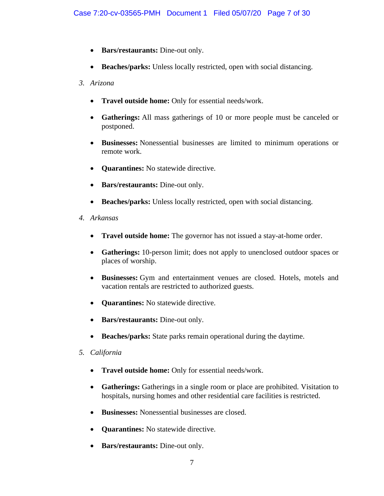- **Bars/restaurants:** Dine-out only.
- **Beaches/parks:** Unless locally restricted, open with social distancing.
- *3. Arizona*
	- **Travel outside home:** Only for essential needs/work.
	- **Gatherings:** All mass gatherings of 10 or more people must be canceled or postponed.
	- **Businesses:** Nonessential businesses are limited to minimum operations or remote work.
	- **Quarantines:** No statewide directive.
	- **Bars/restaurants:** Dine-out only.
	- **Beaches/parks:** Unless locally restricted, open with social distancing.
- *4. Arkansas*
	- **Travel outside home:** The governor has not issued a stay-at-home order.
	- **Gatherings:** 10-person limit; does not apply to unenclosed outdoor spaces or places of worship.
	- **Businesses:** Gym and entertainment venues are closed. Hotels, motels and vacation rentals are restricted to authorized guests.
	- **Quarantines:** No statewide directive.
	- **Bars/restaurants:** Dine-out only.
	- **Beaches/parks:** State parks remain operational during the daytime.
- *5. California*
	- **Travel outside home:** Only for essential needs/work.
	- **Gatherings:** Gatherings in a single room or place are prohibited. Visitation to hospitals, nursing homes and other residential care facilities is restricted.
	- **Businesses:** Nonessential businesses are closed.
	- **Quarantines:** No statewide directive.
	- **Bars/restaurants:** Dine-out only.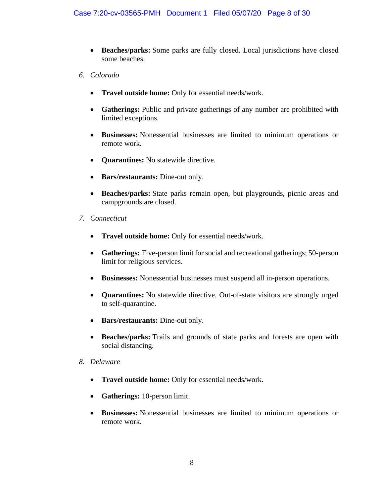- **Beaches/parks:** Some parks are fully closed. Local jurisdictions have closed some beaches.
- *6. Colorado*
	- **Travel outside home:** Only for essential needs/work.
	- **Gatherings:** Public and private gatherings of any number are prohibited with limited exceptions.
	- **Businesses:** Nonessential businesses are limited to minimum operations or remote work.
	- **Quarantines:** No statewide directive.
	- **Bars/restaurants:** Dine-out only.
	- **Beaches/parks:** State parks remain open, but playgrounds, picnic areas and campgrounds are closed.
- *7. Connecticut*
	- **Travel outside home:** Only for essential needs/work.
	- **Gatherings:** Five-person limit for social and recreational gatherings; 50-person limit for religious services.
	- **Businesses:** Nonessential businesses must suspend all in-person operations.
	- **Quarantines:** No statewide directive. Out-of-state visitors are strongly urged to self-quarantine.
	- **Bars/restaurants:** Dine-out only.
	- **Beaches/parks:** Trails and grounds of state parks and forests are open with social distancing.
- *8. Delaware*
	- **Travel outside home:** Only for essential needs/work.
	- **Gatherings:** 10-person limit.
	- **Businesses:** Nonessential businesses are limited to minimum operations or remote work.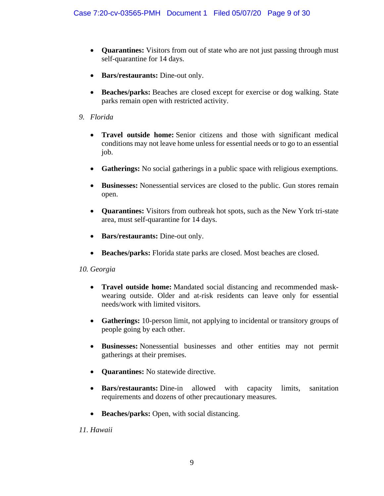- **Quarantines:** Visitors from out of state who are not just passing through must self-quarantine for 14 days.
- **Bars/restaurants:** Dine-out only.
- **Beaches/parks:** Beaches are closed except for exercise or dog walking. State parks remain open with restricted activity.
- *9. Florida*
	- **Travel outside home:** Senior citizens and those with significant medical conditions may not leave home unless for essential needs or to go to an essential job.
	- **Gatherings:** No social gatherings in a public space with religious exemptions.
	- **Businesses:** Nonessential services are closed to the public. Gun stores remain open.
	- **Quarantines:** Visitors from outbreak hot spots, such as the New York tri-state area, must self-quarantine for 14 days.
	- **Bars/restaurants:** Dine-out only.
	- **Beaches/parks:** Florida state parks are closed. Most beaches are closed.

# *10. Georgia*

- **Travel outside home:** Mandated social distancing and recommended maskwearing outside. Older and at-risk residents can leave only for essential needs/work with limited visitors.
- **Gatherings:** 10-person limit, not applying to incidental or transitory groups of people going by each other.
- **Businesses:** Nonessential businesses and other entities may not permit gatherings at their premises.
- **Quarantines:** No statewide directive.
- **Bars/restaurants:** Dine-in allowed with capacity limits, sanitation requirements and dozens of other precautionary measures.
- **Beaches/parks:** Open, with social distancing.

# *11. Hawaii*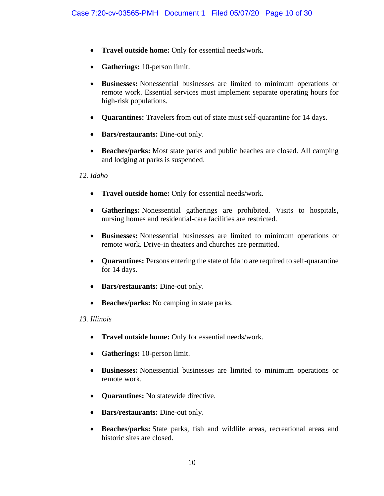- **Travel outside home:** Only for essential needs/work.
- **Gatherings:** 10-person limit.
- **Businesses:** Nonessential businesses are limited to minimum operations or remote work. Essential services must implement separate operating hours for high-risk populations.
- **Quarantines:** Travelers from out of state must self-quarantine for 14 days.
- **Bars/restaurants:** Dine-out only.
- **Beaches/parks:** Most state parks and public beaches are closed. All camping and lodging at parks is suspended.

### *12. Idaho*

- **Travel outside home:** Only for essential needs/work.
- **Gatherings:** Nonessential gatherings are prohibited. Visits to hospitals, nursing homes and residential-care facilities are restricted.
- **Businesses:** Nonessential businesses are limited to minimum operations or remote work. Drive-in theaters and churches are permitted.
- **Quarantines:** Persons entering the state of Idaho are required to self-quarantine for 14 days.
- **Bars/restaurants:** Dine-out only.
- **Beaches/parks:** No camping in state parks.

#### *13. Illinois*

- **Travel outside home:** Only for essential needs/work.
- **Gatherings:** 10-person limit.
- **Businesses:** Nonessential businesses are limited to minimum operations or remote work.
- **Quarantines:** No statewide directive.
- **Bars/restaurants:** Dine-out only.
- **Beaches/parks:** State parks, fish and wildlife areas, recreational areas and historic sites are closed.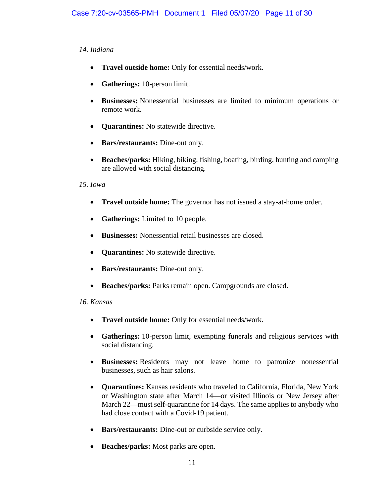# *14. Indiana*

- **Travel outside home:** Only for essential needs/work.
- **Gatherings:** 10-person limit.
- **Businesses:** Nonessential businesses are limited to minimum operations or remote work.
- **Quarantines:** No statewide directive.
- **Bars/restaurants:** Dine-out only.
- **Beaches/parks:** Hiking, biking, fishing, boating, birding, hunting and camping are allowed with social distancing.

### *15. Iowa*

- **Travel outside home:** The governor has not issued a stay-at-home order.
- **Gatherings:** Limited to 10 people.
- **Businesses:** Nonessential retail businesses are closed.
- **Quarantines:** No statewide directive.
- **Bars/restaurants:** Dine-out only.
- **Beaches/parks:** Parks remain open. Campgrounds are closed.

#### *16. Kansas*

- **Travel outside home:** Only for essential needs/work.
- **Gatherings:** 10-person limit, exempting funerals and religious services with social distancing.
- **Businesses:** Residents may not leave home to patronize nonessential businesses, such as hair salons.
- **Quarantines:** Kansas residents who traveled to California, Florida, New York or Washington state after March 14—or visited Illinois or New Jersey after March 22—must self-quarantine for 14 days. The same applies to anybody who had close contact with a Covid-19 patient.
- **Bars/restaurants:** Dine-out or curbside service only.
- **Beaches/parks:** Most parks are open.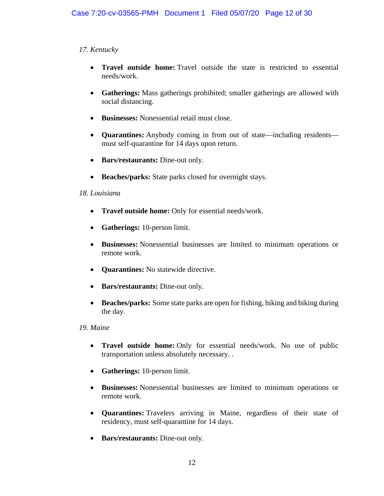# *17. Kentucky*

- **Travel outside home:** Travel outside the state is restricted to essential needs/work.
- **Gatherings:** Mass gatherings prohibited; smaller gatherings are allowed with social distancing.
- **Businesses:** Nonessential retail must close.
- **Quarantines:** Anybody coming in from out of state—including residents must self-quarantine for 14 days upon return.
- **Bars/restaurants:** Dine-out only.
- **Beaches/parks:** State parks closed for overnight stays.

# *18. Louisiana*

- **Travel outside home:** Only for essential needs/work.
- **Gatherings:** 10-person limit.
- **Businesses:** Nonessential businesses are limited to minimum operations or remote work.
- **Quarantines:** No statewide directive.
- **Bars/restaurants:** Dine-out only.
- **Beaches/parks:** Some state parks are open for fishing, hiking and biking during the day.

# *19. Maine*

- **Travel outside home:** Only for essential needs/work. No use of public transportation unless absolutely necessary. .
- **Gatherings:** 10-person limit.
- **Businesses:** Nonessential businesses are limited to minimum operations or remote work.
- **Quarantines:** Travelers arriving in Maine, regardless of their state of residency, must self-quarantine for 14 days.
- **Bars/restaurants:** Dine-out only.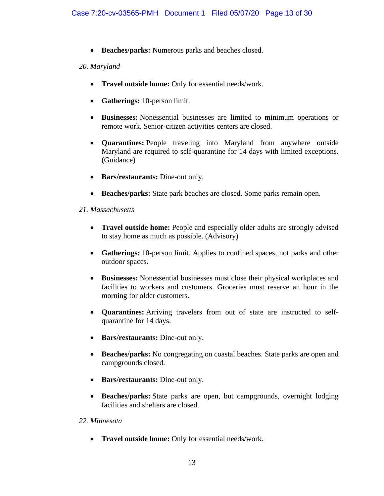• **Beaches/parks:** Numerous parks and beaches closed.

### *20. Maryland*

- **Travel outside home:** Only for essential needs/work.
- **Gatherings:** 10-person limit.
- **Businesses:** Nonessential businesses are limited to minimum operations or remote work. Senior-citizen activities centers are closed.
- **Quarantines:** People traveling into Maryland from anywhere outside Maryland are required to self-quarantine for 14 days with limited exceptions. (Guidance)
- **Bars/restaurants:** Dine-out only.
- **Beaches/parks:** State park beaches are closed. Some parks remain open.

#### *21. Massachusetts*

- **Travel outside home:** People and especially older adults are strongly advised to stay home as much as possible. (Advisory)
- **Gatherings:** 10-person limit. Applies to confined spaces, not parks and other outdoor spaces.
- **Businesses:** Nonessential businesses must close their physical workplaces and facilities to workers and customers. Groceries must reserve an hour in the morning for older customers.
- **Quarantines:** Arriving travelers from out of state are instructed to selfquarantine for 14 days.
- **Bars/restaurants:** Dine-out only.
- **Beaches/parks:** No congregating on coastal beaches. State parks are open and campgrounds closed.
- **Bars/restaurants:** Dine-out only.
- **Beaches/parks:** State parks are open, but campgrounds, overnight lodging facilities and shelters are closed.

#### *22. Minnesota*

• **Travel outside home:** Only for essential needs/work.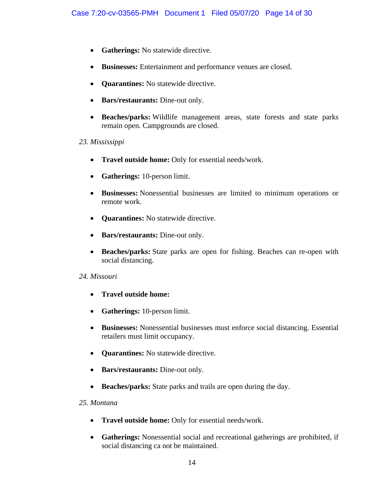- **Gatherings:** No statewide directive.
- **Businesses:** Entertainment and performance venues are closed.
- **Quarantines:** No statewide directive.
- **Bars/restaurants:** Dine-out only.
- **Beaches/parks:** Wildlife management areas, state forests and state parks remain open. Campgrounds are closed.

### *23. Mississippi*

- **Travel outside home:** Only for essential needs/work.
- **Gatherings:** 10-person limit.
- **Businesses:** Nonessential businesses are limited to minimum operations or remote work.
- **Quarantines:** No statewide directive.
- **Bars/restaurants:** Dine-out only.
- **Beaches/parks:** State parks are open for fishing. Beaches can re-open with social distancing.

#### *24. Missouri*

- **Travel outside home:**
- **Gatherings:** 10-person limit.
- **Businesses:** Nonessential businesses must enforce social distancing. Essential retailers must limit occupancy.
- **Quarantines:** No statewide directive.
- **Bars/restaurants:** Dine-out only.
- **Beaches/parks:** State parks and trails are open during the day.

#### *25. Montana*

- **Travel outside home:** Only for essential needs/work.
- **Gatherings:** Nonessential social and recreational gatherings are prohibited, if social distancing ca not be maintained.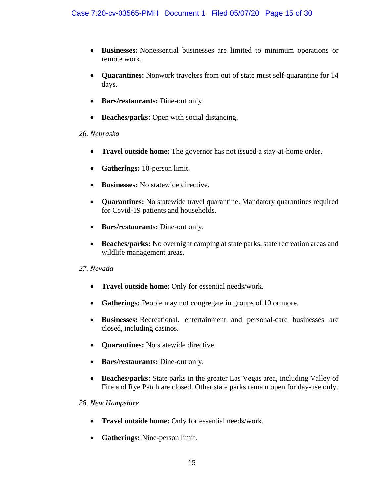- **Businesses:** Nonessential businesses are limited to minimum operations or remote work.
- **Quarantines:** Nonwork travelers from out of state must self-quarantine for 14 days.
- **Bars/restaurants:** Dine-out only.
- **Beaches/parks:** Open with social distancing.

# *26. Nebraska*

- **Travel outside home:** The governor has not issued a stay-at-home order.
- **Gatherings:** 10-person limit.
- **Businesses:** No statewide directive.
- **Quarantines:** No statewide travel quarantine. Mandatory quarantines required for Covid-19 patients and households.
- **Bars/restaurants:** Dine-out only.
- **Beaches/parks:** No overnight camping at state parks, state recreation areas and wildlife management areas.

# *27. Nevada*

- **Travel outside home:** Only for essential needs/work.
- **Gatherings:** People may not congregate in groups of 10 or more.
- **Businesses:** Recreational, entertainment and personal-care businesses are closed, including casinos.
- **Quarantines:** No statewide directive.
- **Bars/restaurants:** Dine-out only.
- **Beaches/parks:** State parks in the greater Las Vegas area, including Valley of Fire and Rye Patch are closed. Other state parks remain open for day-use only.

# *28. New Hampshire*

- **Travel outside home:** Only for essential needs/work.
- **Gatherings:** Nine-person limit.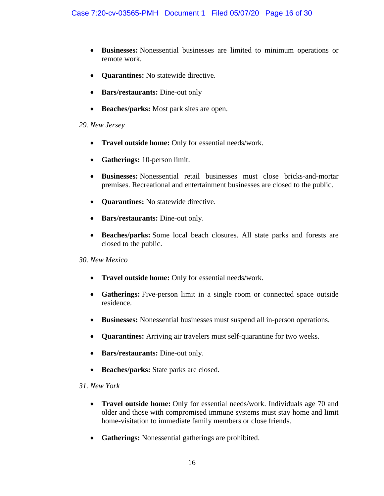- **Businesses:** Nonessential businesses are limited to minimum operations or remote work.
- **Quarantines:** No statewide directive.
- **Bars/restaurants:** Dine-out only
- **Beaches/parks:** Most park sites are open.

### *29. New Jersey*

- **Travel outside home:** Only for essential needs/work.
- **Gatherings:** 10-person limit.
- **Businesses:** Nonessential retail businesses must close bricks-and-mortar premises. Recreational and entertainment businesses are closed to the public.
- **Quarantines:** No statewide directive.
- **Bars/restaurants:** Dine-out only.
- **Beaches/parks:** Some local beach closures. All state parks and forests are closed to the public.

# *30. New Mexico*

- **Travel outside home:** Only for essential needs/work.
- **Gatherings:** Five-person limit in a single room or connected space outside residence.
- **Businesses:** Nonessential businesses must suspend all in-person operations.
- **Quarantines:** Arriving air travelers must self-quarantine for two weeks.
- **Bars/restaurants:** Dine-out only.
- **Beaches/parks:** State parks are closed.

# *31. New York*

- **Travel outside home:** Only for essential needs/work. Individuals age 70 and older and those with compromised immune systems must stay home and limit home-visitation to immediate family members or close friends.
- **Gatherings:** Nonessential gatherings are prohibited.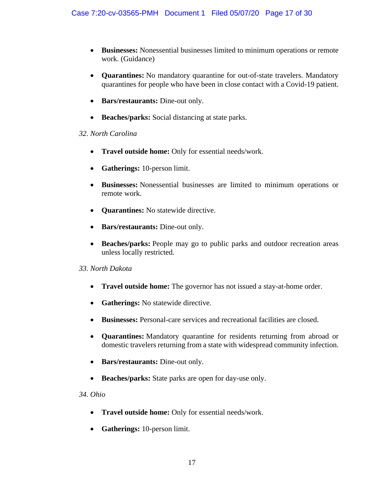- **Businesses:** Nonessential businesses limited to minimum operations or remote work. (Guidance)
- **Quarantines:** No mandatory quarantine for out-of-state travelers. Mandatory quarantines for people who have been in close contact with a Covid-19 patient.
- **Bars/restaurants:** Dine-out only.
- **Beaches/parks:** Social distancing at state parks.

# *32. North Carolina*

- **Travel outside home:** Only for essential needs/work.
- **Gatherings:** 10-person limit.
- **Businesses:** Nonessential businesses are limited to minimum operations or remote work.
- **Quarantines:** No statewide directive.
- **Bars/restaurants:** Dine-out only.
- **Beaches/parks:** People may go to public parks and outdoor recreation areas unless locally restricted.

# *33. North Dakota*

- **Travel outside home:** The governor has not issued a stay-at-home order.
- **Gatherings:** No statewide directive.
- **Businesses:** Personal-care services and recreational facilities are closed.
- **Quarantines:** Mandatory quarantine for residents returning from abroad or domestic travelers returning from a state with widespread community infection.
- **Bars/restaurants:** Dine-out only.
- **Beaches/parks:** State parks are open for day-use only.

*34. Ohio*

- **Travel outside home:** Only for essential needs/work.
- **Gatherings:** 10-person limit.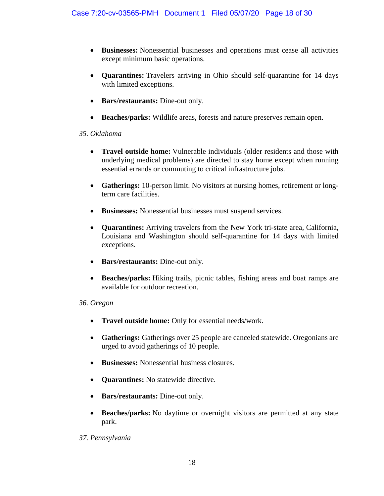- **Businesses:** Nonessential businesses and operations must cease all activities except minimum basic operations.
- **Quarantines:** Travelers arriving in Ohio should self-quarantine for 14 days with limited exceptions.
- **Bars/restaurants:** Dine-out only.
- **Beaches/parks:** Wildlife areas, forests and nature preserves remain open.

# *35. Oklahoma*

- **Travel outside home:** Vulnerable individuals (older residents and those with underlying medical problems) are directed to stay home except when running essential errands or commuting to critical infrastructure jobs.
- **Gatherings:** 10-person limit. No visitors at nursing homes, retirement or longterm care facilities.
- **Businesses:** Nonessential businesses must suspend services.
- **Quarantines:** Arriving travelers from the New York tri-state area, California, Louisiana and Washington should self-quarantine for 14 days with limited exceptions.
- **Bars/restaurants:** Dine-out only.
- **Beaches/parks:** Hiking trails, picnic tables, fishing areas and boat ramps are available for outdoor recreation.

#### *36. Oregon*

- **Travel outside home:** Only for essential needs/work.
- **Gatherings:** Gatherings over 25 people are canceled statewide. Oregonians are urged to avoid gatherings of 10 people.
- **Businesses:** Nonessential business closures.
- **Quarantines:** No statewide directive.
- **Bars/restaurants:** Dine-out only.
- **Beaches/parks:** No daytime or overnight visitors are permitted at any state park.

# *37. Pennsylvania*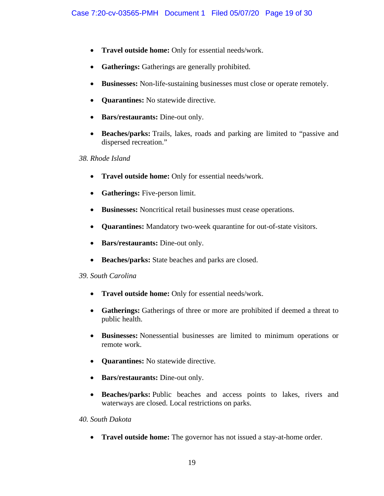- **Travel outside home:** Only for essential needs/work.
- **Gatherings:** Gatherings are generally prohibited.
- **Businesses:** Non-life-sustaining businesses must close or operate remotely.
- **Quarantines:** No statewide directive.
- **Bars/restaurants:** Dine-out only.
- **Beaches/parks:** Trails, lakes, roads and parking are limited to "passive and dispersed recreation."

### *38. Rhode Island*

- **Travel outside home:** Only for essential needs/work.
- **Gatherings:** Five-person limit.
- **Businesses:** Noncritical retail businesses must cease operations.
- **Quarantines:** Mandatory two-week quarantine for out-of-state visitors.
- **Bars/restaurants:** Dine-out only.
- **Beaches/parks:** State beaches and parks are closed.

# *39. South Carolina*

- **Travel outside home:** Only for essential needs/work.
- **Gatherings:** Gatherings of three or more are prohibited if deemed a threat to public health.
- **Businesses:** Nonessential businesses are limited to minimum operations or remote work.
- **Quarantines:** No statewide directive.
- **Bars/restaurants:** Dine-out only.
- **Beaches/parks:** Public beaches and access points to lakes, rivers and waterways are closed. Local restrictions on parks.

# *40. South Dakota*

• **Travel outside home:** The governor has not issued a stay-at-home order.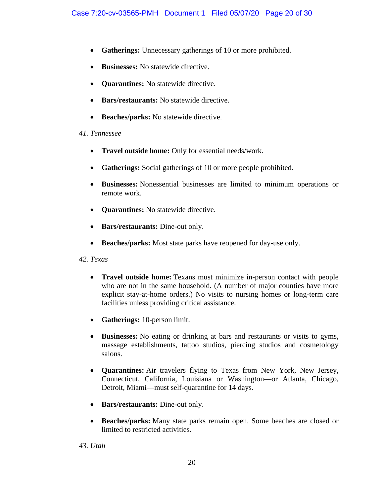- **Gatherings:** Unnecessary gatherings of 10 or more prohibited.
- **Businesses:** No statewide directive.
- **Quarantines:** No statewide directive.
- **Bars/restaurants:** No statewide directive.
- **Beaches/parks:** No statewide directive.

# *41. Tennessee*

- **Travel outside home:** Only for essential needs/work.
- **Gatherings:** Social gatherings of 10 or more people prohibited.
- **Businesses:** Nonessential businesses are limited to minimum operations or remote work.
- **Quarantines:** No statewide directive.
- **Bars/restaurants:** Dine-out only.
- **Beaches/parks:** Most state parks have reopened for day-use only.

# *42. Texas*

- **Travel outside home:** Texans must minimize in-person contact with people who are not in the same household. (A number of major counties have more explicit stay-at-home orders.) No visits to nursing homes or long-term care facilities unless providing critical assistance.
- **Gatherings:** 10-person limit.
- **Businesses:** No eating or drinking at bars and restaurants or visits to gyms, massage establishments, tattoo studios, piercing studios and cosmetology salons.
- **Quarantines:** Air travelers flying to Texas from New York, New Jersey, Connecticut, California, Louisiana or Washington—or Atlanta, Chicago, Detroit, Miami—must self-quarantine for 14 days.
- **Bars/restaurants:** Dine-out only.
- **Beaches/parks:** Many state parks remain open. Some beaches are closed or limited to restricted activities.

*43. Utah*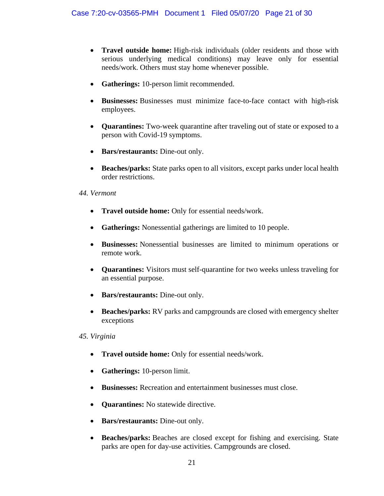- **Travel outside home:** High-risk individuals (older residents and those with serious underlying medical conditions) may leave only for essential needs/work. Others must stay home whenever possible.
- **Gatherings:** 10-person limit recommended.
- **Businesses:** Businesses must minimize face-to-face contact with high-risk employees.
- **Quarantines:** Two-week quarantine after traveling out of state or exposed to a person with Covid-19 symptoms.
- **Bars/restaurants:** Dine-out only.
- **Beaches/parks:** State parks open to all visitors, except parks under local health order restrictions.

#### *44. Vermont*

- **Travel outside home:** Only for essential needs/work.
- **Gatherings:** Nonessential gatherings are limited to 10 people.
- **Businesses:** Nonessential businesses are limited to minimum operations or remote work.
- **Quarantines:** Visitors must self-quarantine for two weeks unless traveling for an essential purpose.
- **Bars/restaurants:** Dine-out only.
- **Beaches/parks:** RV parks and campgrounds are closed with emergency shelter exceptions

# *45. Virginia*

- **Travel outside home:** Only for essential needs/work.
- **Gatherings:** 10-person limit.
- **Businesses:** Recreation and entertainment businesses must close.
- **Quarantines:** No statewide directive.
- **Bars/restaurants:** Dine-out only.
- **Beaches/parks:** Beaches are closed except for fishing and exercising. State parks are open for day-use activities. Campgrounds are closed.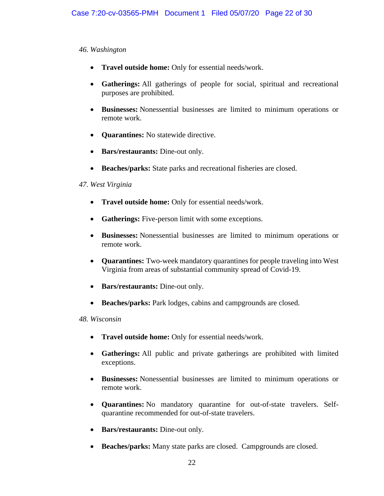### *46. Washington*

- **Travel outside home:** Only for essential needs/work.
- **Gatherings:** All gatherings of people for social, spiritual and recreational purposes are prohibited.
- **Businesses:** Nonessential businesses are limited to minimum operations or remote work.
- **Quarantines:** No statewide directive.
- **Bars/restaurants:** Dine-out only.
- **Beaches/parks:** State parks and recreational fisheries are closed.

# *47. West Virginia*

- **Travel outside home:** Only for essential needs/work.
- **Gatherings:** Five-person limit with some exceptions.
- **Businesses:** Nonessential businesses are limited to minimum operations or remote work.
- **Quarantines:** Two-week mandatory quarantines for people traveling into West Virginia from areas of substantial community spread of Covid-19.
- **Bars/restaurants:** Dine-out only.
- **Beaches/parks:** Park lodges, cabins and campgrounds are closed.

# *48. Wisconsin*

- **Travel outside home:** Only for essential needs/work.
- **Gatherings:** All public and private gatherings are prohibited with limited exceptions.
- **Businesses:** Nonessential businesses are limited to minimum operations or remote work.
- **Quarantines:** No mandatory quarantine for out-of-state travelers. Selfquarantine recommended for out-of-state travelers.
- **Bars/restaurants:** Dine-out only.
- **Beaches/parks:** Many state parks are closed. Campgrounds are closed.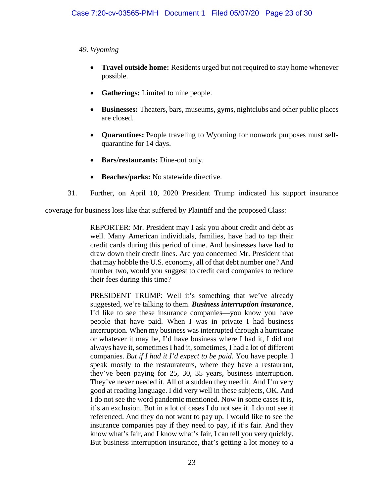### *49. Wyoming*

- **Travel outside home:** Residents urged but not required to stay home whenever possible.
- **Gatherings:** Limited to nine people.
- **Businesses:** Theaters, bars, museums, gyms, nightclubs and other public places are closed.
- **Quarantines:** People traveling to Wyoming for nonwork purposes must selfquarantine for 14 days.
- **Bars/restaurants:** Dine-out only.
- **Beaches/parks:** No statewide directive.
- 31. Further, on April 10, 2020 President Trump indicated his support insurance

coverage for business loss like that suffered by Plaintiff and the proposed Class:

REPORTER: Mr. President may I ask you about credit and debt as well. Many American individuals, families, have had to tap their credit cards during this period of time. And businesses have had to draw down their credit lines. Are you concerned Mr. President that that may hobble the U.S. economy, all of that debt number one? And number two, would you suggest to credit card companies to reduce their fees during this time?

PRESIDENT TRUMP: Well it's something that we've already suggested, we're talking to them. *Business interruption insurance*, I'd like to see these insurance companies—you know you have people that have paid. When I was in private I had business interruption. When my business was interrupted through a hurricane or whatever it may be, I'd have business where I had it, I did not always have it, sometimes I had it, sometimes, I had a lot of different companies. *But if I had it I'd expect to be paid*. You have people. I speak mostly to the restaurateurs, where they have a restaurant, they've been paying for 25, 30, 35 years, business interruption. They've never needed it. All of a sudden they need it. And I'm very good at reading language. I did very well in these subjects, OK. And I do not see the word pandemic mentioned. Now in some cases it is, it's an exclusion. But in a lot of cases I do not see it. I do not see it referenced. And they do not want to pay up. I would like to see the insurance companies pay if they need to pay, if it's fair. And they know what's fair, and I know what's fair, I can tell you very quickly. But business interruption insurance, that's getting a lot money to a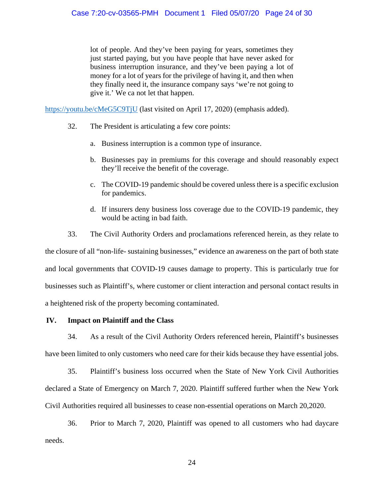lot of people. And they've been paying for years, sometimes they just started paying, but you have people that have never asked for business interruption insurance, and they've been paying a lot of money for a lot of years for the privilege of having it, and then when they finally need it, the insurance company says 'we're not going to give it.' We ca not let that happen.

<https://youtu.be/cMeG5C9TjU> (last visited on April 17, 2020) (emphasis added).

- 32. The President is articulating a few core points:
	- a. Business interruption is a common type of insurance.
	- b. Businesses pay in premiums for this coverage and should reasonably expect they'll receive the benefit of the coverage.
	- c. The COVID-19 pandemic should be covered unless there is a specific exclusion for pandemics.
	- d. If insurers deny business loss coverage due to the COVID-19 pandemic, they would be acting in bad faith.
- 33. The Civil Authority Orders and proclamations referenced herein, as they relate to the closure of all "non-life- sustaining businesses," evidence an awareness on the part of both state and local governments that COVID-19 causes damage to property. This is particularly true for businesses such as Plaintiff's, where customer or client interaction and personal contact results in a heightened risk of the property becoming contaminated.

# **IV. Impact on Plaintiff and the Class**

34. As a result of the Civil Authority Orders referenced herein, Plaintiff's businesses have been limited to only customers who need care for their kids because they have essential jobs.

35. Plaintiff's business loss occurred when the State of New York Civil Authorities declared a State of Emergency on March 7, 2020. Plaintiff suffered further when the New York Civil Authorities required all businesses to cease non-essential operations on March 20,2020.

36. Prior to March 7, 2020, Plaintiff was opened to all customers who had daycare needs.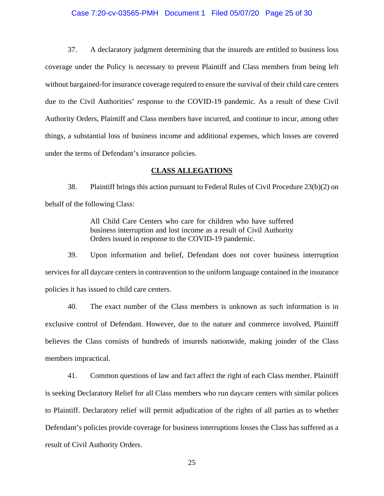#### Case 7:20-cv-03565-PMH Document 1 Filed 05/07/20 Page 25 of 30

37. A declaratory judgment determining that the insureds are entitled to business loss coverage under the Policy is necessary to prevent Plaintiff and Class members from being left without bargained-for insurance coverage required to ensure the survival of their child care centers due to the Civil Authorities' response to the COVID-19 pandemic. As a result of these Civil Authority Orders, Plaintiff and Class members have incurred, and continue to incur, among other things, a substantial loss of business income and additional expenses, which losses are covered under the terms of Defendant's insurance policies.

#### **CLASS ALLEGATIONS**

38. Plaintiff brings this action pursuant to Federal Rules of Civil Procedure 23(b)(2) on behalf of the following Class:

> All Child Care Centers who care for children who have suffered business interruption and lost income as a result of Civil Authority Orders issued in response to the COVID-19 pandemic.

39. Upon information and belief, Defendant does not cover business interruption services for all daycare centers in contravention to the uniform language contained in the insurance policies it has issued to child care centers.

40. The exact number of the Class members is unknown as such information is in exclusive control of Defendant. However, due to the nature and commerce involved, Plaintiff believes the Class consists of hundreds of insureds nationwide, making joinder of the Class members impractical.

41. Common questions of law and fact affect the right of each Class member. Plaintiff is seeking Declaratory Relief for all Class members who run daycare centers with similar polices to Plaintiff. Declaratory relief will permit adjudication of the rights of all parties as to whether Defendant's policies provide coverage for business interruptions losses the Class has suffered as a result of Civil Authority Orders.

25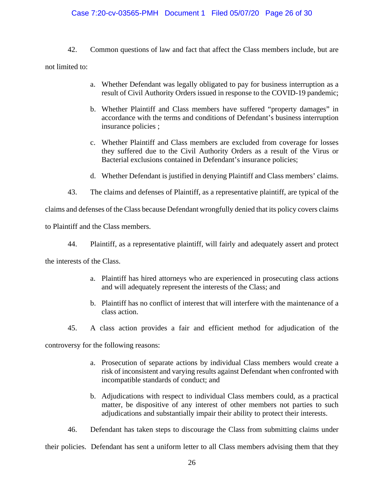### Case 7:20-cv-03565-PMH Document 1 Filed 05/07/20 Page 26 of 30

42. Common questions of law and fact that affect the Class members include, but are not limited to:

- a. Whether Defendant was legally obligated to pay for business interruption as a result of Civil Authority Orders issued in response to the COVID-19 pandemic;
- b. Whether Plaintiff and Class members have suffered "property damages" in accordance with the terms and conditions of Defendant's business interruption insurance policies ;
- c. Whether Plaintiff and Class members are excluded from coverage for losses they suffered due to the Civil Authority Orders as a result of the Virus or Bacterial exclusions contained in Defendant's insurance policies;
- d. Whether Defendant is justified in denying Plaintiff and Class members' claims.
- 43. The claims and defenses of Plaintiff, as a representative plaintiff, are typical of the

claims and defenses of the Class because Defendant wrongfully denied that its policy covers claims

to Plaintiff and the Class members.

44. Plaintiff, as a representative plaintiff, will fairly and adequately assert and protect

the interests of the Class.

- a. Plaintiff has hired attorneys who are experienced in prosecuting class actions and will adequately represent the interests of the Class; and
- b. Plaintiff has no conflict of interest that will interfere with the maintenance of a class action.
- 45. A class action provides a fair and efficient method for adjudication of the

controversy for the following reasons:

- a. Prosecution of separate actions by individual Class members would create a risk of inconsistent and varying results against Defendant when confronted with incompatible standards of conduct; and
- b. Adjudications with respect to individual Class members could, as a practical matter, be dispositive of any interest of other members not parties to such adjudications and substantially impair their ability to protect their interests.

46. Defendant has taken steps to discourage the Class from submitting claims under

their policies. Defendant has sent a uniform letter to all Class members advising them that they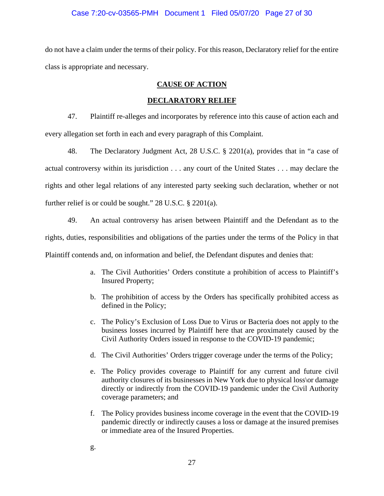#### Case 7:20-cv-03565-PMH Document 1 Filed 05/07/20 Page 27 of 30

do not have a claim under the terms of their policy. For this reason, Declaratory relief for the entire class is appropriate and necessary.

# **CAUSE OF ACTION**

### **DECLARATORY RELIEF**

47. Plaintiff re-alleges and incorporates by reference into this cause of action each and every allegation set forth in each and every paragraph of this Complaint.

48. The Declaratory Judgment Act, 28 U.S.C. § 2201(a), provides that in "a case of actual controversy within its jurisdiction . . . any court of the United States . . . may declare the rights and other legal relations of any interested party seeking such declaration, whether or not further relief is or could be sought." 28 U.S.C. § 2201(a).

49. An actual controversy has arisen between Plaintiff and the Defendant as to the rights, duties, responsibilities and obligations of the parties under the terms of the Policy in that Plaintiff contends and, on information and belief, the Defendant disputes and denies that:

- a. The Civil Authorities' Orders constitute a prohibition of access to Plaintiff's Insured Property;
- b. The prohibition of access by the Orders has specifically prohibited access as defined in the Policy;
- c. The Policy's Exclusion of Loss Due to Virus or Bacteria does not apply to the business losses incurred by Plaintiff here that are proximately caused by the Civil Authority Orders issued in response to the COVID-19 pandemic;
- d. The Civil Authorities' Orders trigger coverage under the terms of the Policy;
- e. The Policy provides coverage to Plaintiff for any current and future civil authority closures of its businesses in New York due to physical loss\or damage directly or indirectly from the COVID-19 pandemic under the Civil Authority coverage parameters; and
- f. The Policy provides business income coverage in the event that the COVID-19 pandemic directly or indirectly causes a loss or damage at the insured premises or immediate area of the Insured Properties.
- g.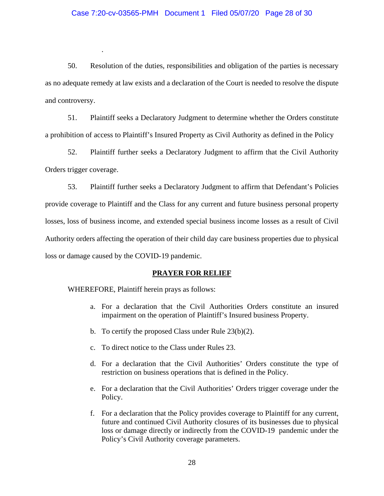#### Case 7:20-cv-03565-PMH Document 1 Filed 05/07/20 Page 28 of 30

50. Resolution of the duties, responsibilities and obligation of the parties is necessary as no adequate remedy at law exists and a declaration of the Court is needed to resolve the dispute and controversy.

51. Plaintiff seeks a Declaratory Judgment to determine whether the Orders constitute a prohibition of access to Plaintiff's Insured Property as Civil Authority as defined in the Policy

52. Plaintiff further seeks a Declaratory Judgment to affirm that the Civil Authority Orders trigger coverage.

53. Plaintiff further seeks a Declaratory Judgment to affirm that Defendant's Policies provide coverage to Plaintiff and the Class for any current and future business personal property losses, loss of business income, and extended special business income losses as a result of Civil Authority orders affecting the operation of their child day care business properties due to physical loss or damage caused by the COVID-19 pandemic.

#### **PRAYER FOR RELIEF**

WHEREFORE, Plaintiff herein prays as follows:

.

- a. For a declaration that the Civil Authorities Orders constitute an insured impairment on the operation of Plaintiff's Insured business Property.
- b. To certify the proposed Class under Rule 23(b)(2).
- c. To direct notice to the Class under Rules 23.
- d. For a declaration that the Civil Authorities' Orders constitute the type of restriction on business operations that is defined in the Policy.
- e. For a declaration that the Civil Authorities' Orders trigger coverage under the Policy.
- f. For a declaration that the Policy provides coverage to Plaintiff for any current, future and continued Civil Authority closures of its businesses due to physical loss or damage directly or indirectly from the COVID-19 pandemic under the Policy's Civil Authority coverage parameters.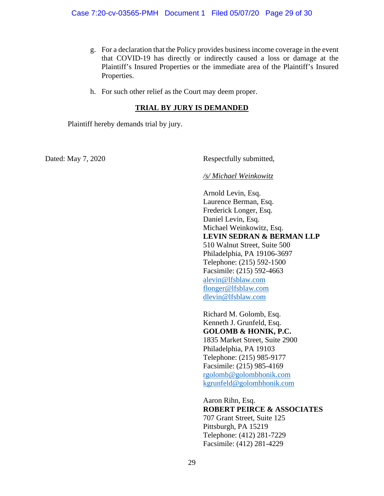- g. For a declaration that the Policy provides business income coverage in the event that COVID-19 has directly or indirectly caused a loss or damage at the Plaintiff's Insured Properties or the immediate area of the Plaintiff's Insured Properties.
- h. For such other relief as the Court may deem proper.

### **TRIAL BY JURY IS DEMANDED**

Plaintiff hereby demands trial by jury.

Dated: May 7, 2020 Respectfully submitted,

*/s/ Michael Weinkowitz*

Arnold Levin, Esq. Laurence Berman, Esq. Frederick Longer, Esq. Daniel Levin, Esq. Michael Weinkowitz, Esq. **LEVIN SEDRAN & BERMAN LLP** 510 Walnut Street, Suite 500 Philadelphia, PA 19106-3697 Telephone: (215) 592-1500 Facsimile: (215) 592-4663 [alevin@lfsblaw.com](mailto:alevin@lfsblaw.com) [flonger@lfsblaw.com](mailto:flonger@lfsblaw.com) [dlevin@lfsblaw.com](mailto:dlevin@lfsblaw.com)

Richard M. Golomb, Esq. Kenneth J. Grunfeld, Esq. **GOLOMB & HONIK, P.C.** 1835 Market Street, Suite 2900 Philadelphia, PA 19103 Telephone: (215) 985-9177 Facsimile: (215) 985-4169 [rgolomb@golombhonik.com](mailto:rgolomb@golombhonik.com) [kgrunfeld@golombhonik.com](mailto:kgrunfeld@golombhonik.com)

Aaron Rihn, Esq. **ROBERT PEIRCE & ASSOCIATES** 707 Grant Street, Suite 125 Pittsburgh, PA 15219 Telephone: (412) 281-7229 Facsimile: (412) 281-4229